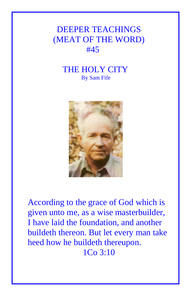## DEEPER TEACHINGS (MEAT OF THE WORD) #45

## THE HOLY CITY By Sam Fife



According to the grace of God which is given unto me, as a wise masterbuilder, I have laid the foundation, and another buildeth thereon. But let every man take heed how he buildeth thereupon. 1Co 3:10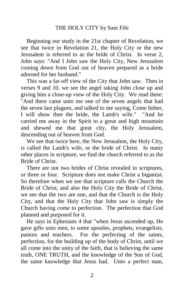Beginning our study in the 21st chapter of Revelation, we see that twice in Revelation 21, the Holy City or the new Jerusalem is referred to as the bride of Christ. In verse 2, John says: "And I John saw the Holy City, New Jerusalem coming down from God out of heaven prepared as a bride adorned for her husband."

 This was a far-off view of the City that John saw. Then in verses 9 and 10, we see the angel taking John close up and giving him a close-up view of the Holy City. We read there: "And there came unto me one of the seven angels that had the seven last plagues, and talked to me saying, Come hither, I will show thee the bride, the Lamb's wife." "And he carried me away in the Spirit to a great and high mountain and shewed me that great city, the Holy Jerusalem, descending out of heaven from God.

 We see that twice here, the New Jerusalem, the Holy City, is called the Lamb's wife, or the bride of Christ. In many other places in scripture, we find the church referred to as the Bride of Christ.

 There are not two brides of Christ revealed in scriptures, or three or four. Scripture does not make Christ a bigamist. So therefore when we see that scripture calls the Church the Bride of Christ, and also the Holy City the Bride of Christ, we see that the two are one, and that the Church is the Holy City, and that the Holy City that John saw is simply the Church having come to perfection. The perfection that God planned and purposed for it.

 He says in Ephesians 4 that "when Jesus ascended up, He gave gifts unto men, to some apostles, prophets, evangelists, pastors and teachers. For the perfecting of the saints, perfection, for the building up of the body of Christ, until we all come into the unity of the faith, that is believing the same truth, ONE TRUTH, and the knowledge of the Son of God, the same knowledge that Jesus had. Unto a perfect man,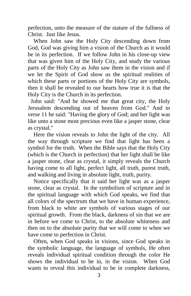perfection, unto the measure of the stature of the fullness of Christ. Just like Jesus.

 When John saw the Holy City descending down from God, God was giving him a vision of the Church as it would be in its perfection. If we follow John in his close-up view that was given him of the Holy City, and study the various parts of the Holy City as John saw them in the vision and if we let the Spirit of God show us the spiritual realities of which these parts or portions of the Holy City are symbols, then it shall be revealed to our hearts how true it is that the Holy City is the Church in its perfection.

 John said: "And he showed me that great city, the Holy Jerusalem descending out of heaven from God." And in verse 11 he said: "Having the glory of God; and her light was like unto a stone most precious even like a jasper stone, clear as crystal."

 Here the vision reveals to John the light of the city. All the way through scripture we find that light has been a symbol for the truth. When the Bible says that the Holy City (which is the Church in perfection) that her light shall be like a jasper stone, clear as crystal, it simply reveals the Church having come to all light, perfect light, all truth, purest truth, and walking and living in absolute light, truth, purity.

 Notice specifically that it said her light was as a jasper stone, clear as crystal. In the symbolism of scripture and in the spiritual language with which God speaks, we find that all colors of the spectrum that we have in human experience, from black to white are symbols of various stages of our spiritual growth. From the black, darkness of sin that we are in before we come to Christ, to the absolute whiteness and then on to the absolute purity that we will come to when we have come to perfection in Christ.

 Often, when God speaks in visions, since God speaks in the symbolic language, the language of symbols, He often reveals individual spiritual condition through the color He shows the individual to be in, in the vision. When God wants to reveal this individual to be in complete darkness,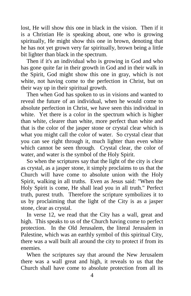lost, He will show this one in black in the vision. Then if it is a Christian He is speaking about, one who is growing spiritually, He might show this one in brown, denoting that he has not yet grown very far spiritually, brown being a little bit lighter than black in the spectrum.

 Then if it's an individual who is growing in God and who has gone quite far in their growth in God and in their walk in the Spirit, God might show this one in gray, which is not white, not having come to the perfection in Christ, but on their way up in their spiritual growth.

 Then when God has spoken to us in visions and wanted to reveal the future of an individual, when he would come to absolute perfection in Christ, we have seen this individual in white. Yet there is a color in the spectrum which is higher than white, clearer than white, more perfect than white and that is the color of the jasper stone or crystal clear which is what you might call the color of water. So crystal clear that you can see right through it, much lighter than even white which cannot be seen through. Crystal clear, the color of water, and water is the symbol of the Holy Spirit.

 So when the scriptures say that the light of the city is clear as crystal, as a jasper stone, it simply proclaims to us that the Church will have come to absolute union with the Holy Spirit, walking in all truths. Even as Jesus said: "When the Holy Spirit is come, He shall lead you in all truth." Perfect truth, purest truth. Therefore the scripture symbolizes it to us by proclaiming that the light of the City is as a jasper stone, clear as crystal.

 In verse 12, we read that the City has a wall, great and high. This speaks to us of the Church having come to perfect protection. In the Old Jerusalem, the literal Jerusalem in Palestine, which was an earthly symbol of this spiritual City, there was a wall built all around the city to protect if from its enemies.

 When the scriptures say that around the New Jerusalem there was a wall great and high, it reveals to us that the Church shall have come to absolute protection from all its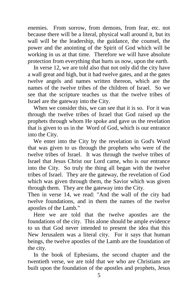enemies. From sorrow, from demons, from fear, etc. not because there will be a literal, physical wall around it, but its wall will be the leadership, the guidance, the counsel, the power and the anointing of the Spirit of God which will be working in us at that time. Therefore we will have absolute protection from everything that hurts us now, upon the earth.

 In verse 12, we are told also that not only did the city have a wall great and high, but it had twelve gates, and at the gates twelve angels and names written thereon, which are the names of the twelve tribes of the children of Israel. So we see that the scripture teaches us that the twelve tribes of Israel are the gateway into the City.

 When we consider this, we can see that it is so. For it was through the twelve tribes of Israel that God raised up the prophets through whom He spoke and gave us the revelation that is given to us in the Word of God, which is our entrance into the City.

 We enter into the City by the revelation in God's Word that was given to us through the prophets who were of the twelve tribes of Israel. It was through the twelve tribes of Israel that Jesus Christ our Lord came, who is our entrance into the City. So truly the thing all began with the twelve tribes of Israel. They are the gateway, the revelation of God which was given through them, the Savior which was given through them. They are the gateway into the City.

Then in verse 14, we read: "And the wall of the city had twelve foundations, and in them the names of the twelve apostles of the Lamb."

 Here we are told that the twelve apostles are the foundations of the city. This alone should be ample evidence to us that God never intended to present the idea that this New Jerusalem was a literal city. For it says that human beings, the twelve apostles of the Lamb are the foundation of the city.

 In the book of Ephesians, the second chapter and the twentieth verse, we are told that we who are Christians are built upon the foundation of the apostles and prophets, Jesus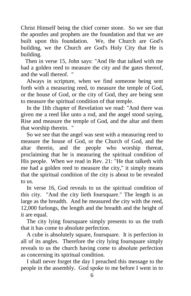Christ Himself being the chief corner stone. So we see that the apostles and prophets are the foundation and that we are built upon this foundation. We, the Church are God's building, we the Church are God's Holy City that He is building.

 Then in verse 15, John says: "And He that talked with me had a golden reed to measure the city and the gates thereof, and the wall thereof. "

 Always in scripture, when we find someone being sent forth with a measuring reed, to measure the temple of God, or the house of God, or the city of God, they are being sent to measure the spiritual condition of that temple.

 In the 1lth chapter of Revelation we read: "And there was given me a reed like unto a rod, and the angel stood saying, Rise and measure the temple of God, and the altar and them that worship therein. "

 So we see that the angel was sent with a measuring reed to measure the house of God, or the Church of God, and the altar therein, and the people who worship thereat, proclaiming that he is measuring the spiritual condition of His people. When we read in Rev. 21: "He that talketh with me had a golden reed to measure the city," it simply means that the spiritual condition of the city is about to be revealed to us.

 In verse 16, God reveals to us the spiritual condition of this city. "And the city lieth foursquare." The length is as large as the breadth. And he measured the city with the reed, 12,000 furlongs, the length and the breadth and the height of it are equal.

 The city lying foursquare simply presents to us the truth that it has come to absolute perfection.

 A cube is absolutely square, foursquare. It is perfection in all of its angles. Therefore the city lying foursquare simply reveals to us the church having come to absolute perfection as concerning its spiritual condition.

 I shall never forget the day I preached this message to the people in the assembly. God spoke to me before I went in to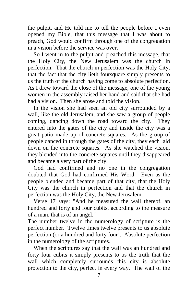the pulpit, and He told me to tell the people before I even opened my Bible, that this message that I was about to preach, God would confirm through one of the congregation in a vision before the service was over.

 So I went in to the pulpit and preached this message, that the Holy City, the New Jerusalem was the church in perfection. That the church in perfection was the Holy City, that the fact that the city lieth foursquare simply presents to us the truth of the church having come to absolute perfection. As I drew toward the close of the message, one of the young women in the assembly raised her hand and said that she had had a vision. Then she arose and told the vision.

 In the vision she had seen an old city surrounded by a wall, like the old Jerusalem, and she saw a group of people coming, dancing down the road toward the city. They entered into the gates of the city and inside the city was a great patio made up of concrete squares. As the group of people danced in through the gates of the city, they each laid down on the concrete squares. As she watched the vision, they blended into the concrete squares until they disappeared and became a very part of the city.

 God had confirmed and no one in the congregation doubted that God had confirmed His Word. Even as the people blended and became part of that city, that the Holy City was the church in perfection and that the church in perfection was the Holy City, the New Jerusalem.

 Verse 17 says: "And he measured the wall thereof, an hundred and forty and four cubits, according to the measure of a man, that is of an angel."

The number twelve in the numerology of scripture is the perfect number. Twelve times twelve presents to us absolute perfection (or a hundred and forty four). Absolute perfection in the numerology of the scriptures.

 When the scriptures say that the wall was an hundred and forty four cubits it simply presents to us the truth that the wall which completely surrounds this city is absolute protection to the city, perfect in every way. The wall of the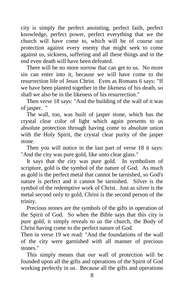city is simply the perfect anointing, perfect faith, perfect knowledge, perfect power, perfect everything that we the church will have come to, which will be of course our protection against every enemy that might seek to come against us, sickness, suffering and all these things and in the end even death will have been defeated.

 There will be no more sorrow that can get to us. No more sin can enter into it, because we will have come to the resurrection life of Jesus Christ. Even as Romans 6 says: "If we have been planted together in the likeness of his death, so shall we also be in the likeness of his resurrection."

 Then verse 18 says: "And the building of the wall of it was of jasper. "

 The wall, too, was built of jasper stone, which has the crystal clear color of light which again presents to us absolute protection through having come to absolute union with the Holy Spirit, the crystal clear purity of the jasper stone.

 Then you will notice in the last part of verse 18 it says: "And the city was pure gold, like unto clear glass."

 It says that the city was pure gold. In symbolism of scripture, gold is the symbol of the nature of God. As much as gold is the perfect metal that cannot be tarnished, so God's nature is perfect and it cannot be tarnished. Silver is the symbol of the redemptive work of Christ. Just as silver is the metal second only to gold, Christ is the second person of the trinity.

 Precious stones are the symbols of the gifts in operation of the Spirit of God. So when the Bible says that this city is pure gold, it simply reveals to us the church, the Body of Christ having come to the perfect nature of God.

Then in verse 19 we read: "And the foundations of the wall of the city were garnished with all manner of precious stones."

 This simply means that our wall of protection will be founded upon all the gifts and operations of the Spirit of God working perfectly in us. Because all the gifts and operations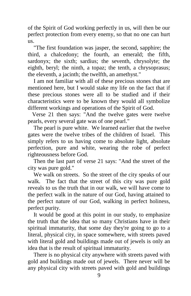of the Spirit of God working perfectly in us, will then be our perfect protection from every enemy, so that no one can hurt us.

 "The first foundation was jasper, the second, sapphire; the third, a chalcedony; the fourth, an emerald; the fifth, sardonyx; the sixth; sardius; the seventh, chrysolyte; the eighth, beryl; the ninth, a topaz; the tenth, a chrysoprasus; the eleventh, a jacinth; the twelfth, an amethyst."

 I am not familiar with all of these precious stones that are mentioned here, but I would stake my life on the fact that if these precious stones were all to be studied and if their characteristics were to be known they would all symbolize different workings and operations of the Spirit of God.

 Verse 21 then says: "And the twelve gates were twelve pearls, every several gate was of one pearl."

 The pearl is pure white. We learned earlier that the twelve gates were the twelve tribes of the children of Israel. This simply refers to us having come to absolute light, absolute perfection, pure and white, wearing the robe of perfect righteousness before God.

 Then the last part of verse 21 says: "And the street of the city was pure gold."

 We walk on streets. So the street of the city speaks of our walk. The fact that the street of this city was pure gold reveals to us the truth that in our walk, we will have come to the perfect walk in the nature of our God, having attained to the perfect nature of our God, walking in perfect holiness, perfect purity.

 It would be good at this point in our study, to emphasize the truth that the idea that so many Christians have in their spiritual immaturity, that some day they're going to go to a literal, physical city, in space somewhere, with streets paved with literal gold and buildings made out of jewels is only an idea that is the result of spiritual immaturity.

 There is no physical city anywhere with streets paved with gold and buildings made out of jewels. There never will be any physical city with streets paved with gold and buildings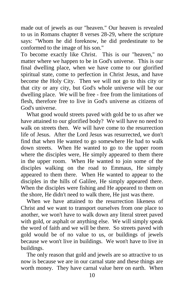made out of jewels as our "heaven." Our heaven is revealed to us in Romans chapter 8 verses 28-29, where the scripture says: "Whom he did foreknow, he did predestinate to be conformed to the image of his son."

To become exactly like Christ. This is our "heaven," no matter where we happen to be in God's universe. This is our final dwelling place, when we have come to our glorified spiritual state, come to perfection in Christ Jesus, and have become the Holy City. Then we will not go to this city or that city or any city, but God's whole universe will be our dwelling place. We will be free - free from the limitations of flesh, therefore free to live in God's universe as citizens of God's universe.

 What good would streets paved with gold be to us after we have attained to our glorified body? We will have no need to walk on streets then. We will have come to the resurrection life of Jesus. After the Lord Jesus was resurrected, we don't find that when He wanted to go somewhere He had to walk down streets. When He wanted to go to the upper room where the disciples were, He simply appeared to them there in the upper room. When He wanted to join some of the disciples walking on the road to Emmaus, He simply appeared to them there. When He wanted to appear to the disciples in the hills of Galilee, He simply appeared there. When the disciples were fishing and He appeared to them on the shore, He didn't need to walk there, He just was there.

 When we have attained to the resurrection likeness of Christ and we want to transport ourselves from one place to another, we won't have to walk down any literal street paved with gold, or asphalt or anything else. We will simply speak the word of faith and we will be there. So streets paved with gold would be of no value to us, or buildings of jewels because we won't live in buildings. We won't have to live in buildings.

 The only reason that gold and jewels are so attractive to us now is because we are in our carnal state and these things are worth money. They have carnal value here on earth. When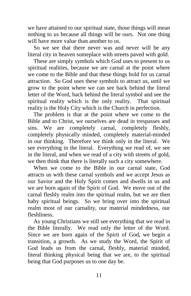we have attained to our spiritual state, those things will mean nothing to us because all things will be ours. Not one thing will have more value than another to us.

 So we see that there never was and never will be any literal city in heaven someplace with streets paved with gold.

 These are simply symbols which God uses to present to us spiritual realities, because we are carnal at the point where we come to the Bible and that these things hold for us carnal attraction. So God uses these symbols to attract us, until we grow to the point where we can see back behind the literal letter of the Word, back behind the literal symbol and see the spiritual reality which is the only reality. That spiritual reality is the Holy City which is the Church in perfection.

 The problem is that at the point where we come to the Bible and to Christ, we ourselves are dead in trespasses and sins. We are completely carnal, completely fleshly, completely physically minded, completely material-minded in our thinking. Therefore we think only in the literal. We see everything in the literal. Everything we read of, we see in the literal, and when we read of a city with streets of gold, we then think that there is literally such a city somewhere.

 When we come to the Bible in our carnal state, God attracts us with these carnal symbols and we accept Jesus as our Savior and the Holy Spirit comes and dwells in us and we are born again of the Spirit of God. We move out of the carnal fleshly realm into the spiritual realm, but we are then baby spiritual beings. So we bring over into the spiritual realm most of our carnality, our material mindedness, our fleshliness.

 As young Christians we still see everything that we read in the Bible literally. We read only the letter of the Word. Since we are born again of the Spirit of God, we begin a transition, a growth. As we study the Word, the Spirit of God leads us from the carnal, fleshly, material minded, literal thinking physical being that we are, to the spiritual being that God purposes us to one day be.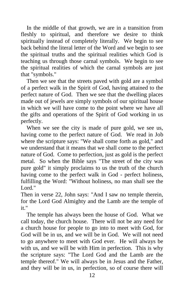In the middle of that growth, we are in a transition from fleshly to spiritual, and therefore we desire to think spiritually instead of completely literally. We begin to see back behind the literal letter of the Word and we begin to see the spiritual truths and the spiritual realities which God is teaching us through those carnal symbols. We begin to see the spiritual realities of which the carnal symbols are just that "symbols."

 Then we see that the streets paved with gold are a symbol of a perfect walk in the Spirit of God, having attained to the perfect nature of God. Then we see that the dwelling places made out of jewels are simply symbols of our spiritual house in which we will have come to the point where we have all the gifts and operations of the Spirit of God working in us perfectly.

 When we see the city is made of pure gold, we see us, having come to the perfect nature of God. We read in Job where the scripture says: "We shall come forth as gold," and we understand that it means that we shall come to the perfect nature of God. Come to perfection, just as gold is the perfect metal. So when the Bible says "The street of the city was pure gold" it simply proclaims to us the truth of the church having come to the perfect walk in God - perfect holiness, fulfilling the Word: "Without holiness, no man shall see the Lord."

Then in verse 22, John says: "And I saw no temple therein, for the Lord God Almighty and the Lamb are the temple of it."

 The temple has always been the house of God. What we call today, the church house. There will not be any need for a church house for people to go into to meet with God, for God will be in us, and we will be in God. We will not need to go anywhere to meet with God ever. He will always be with us, and we will be with Him in perfection. This is why the scripture says: "The Lord God and the Lamb are the temple thereof." We will always be in Jesus and the Father, and they will be in us, in perfection, so of course there will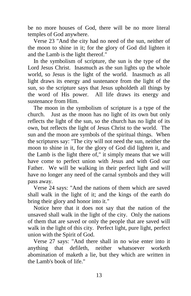be no more houses of God, there will be no more literal temples of God anywhere.

 Verse 23 "And the city had no need of the sun, neither of the moon to shine in it; for the glory of God did lighten it and the Lamb is the light thereof."

 In the symbolism of scripture, the sun is the type of the Lord Jesus Christ. Inasmuch as the sun lights up the whole world, so Jesus is the light of the world. Inasmuch as all light draws its energy and sustenance from the light of the sun, so the scripture says that Jesus upholdeth all things by the word of His power. All life draws its energy and sustenance from Him.

 The moon in the symbolism of scripture is a type of the church. Just as the moon has no light of its own but only reflects the light of the sun, so the church has no light of its own, but reflects the light of Jesus Christ to the world. The sun and the moon are symbols of the spiritual things. When the scriptures say: "The city will not need the sun, neither the moon to shine in it, for the glory of God did lighten it, and the Lamb is the light there of," it simply means that we will have come to perfect union with Jesus and with God our Father. We will be walking in their perfect light and will have no longer any need of the carnal symbols and they will pass away.

 Verse 24 says: "And the nations of them which are saved shall walk in the light of it; and the kings of the earth do bring their glory and honor into it."

 Notice here that it does not say that the nation of the unsaved shall walk in the light of the city. Only the nations of them that are saved or only the people that are saved will walk in the light of this city. Perfect light, pure light, perfect union with the Spirit of God.

 Verse 27 says: "And there shall in no wise enter into it anything that defileth, neither whatsoever worketh abomination of maketh a lie, but they which are written in the Lamb's book of life."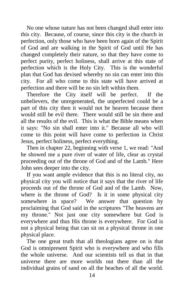No one whose nature has not been changed shall enter into this city. Because, of course, since this city is the church in perfection, only those who have been born again of the Spirit of God and are walking in the Spirit of God until He has changed completely their nature, so that they have come to perfect purity, perfect holiness, shall arrive at this state of perfection which is the Holy City. This is the wonderful plan that God has devised whereby no sin can enter into this city. For all who come to this state will have arrived at perfection and there will be no sin left within them.

 Therefore the City itself will be perfect. If the unbelievers, the unregenerated, the unperfected could be a part of this city then it would not be heaven because there would still be evil there. There would still be sin there and all the results of the evil. This is what the Bible means when it says: "No sin shall enter into it." Because all who will come to this point will have come to perfection in Christ Jesus, perfect holiness, perfect everything.

 Then in chapter 22, beginning with verse 1, we read: "And he showed me a pure river of water of life, clear as crystal proceeding out of the throne of God and of the Lamb." Here John sees deeper into the city.

 If you want ample evidence that this is no literal city, no physical city you will notice that it says that the river of life proceeds out of the throne of God and of the Lamb. Now, where is the throne of God? Is it in some physical city somewhere in space? We answer that question by proclaiming that God said in the scriptures "The heavens are my throne." Not just one city somewhere but God is everywhere and thus His throne is everywhere. For God is not a physical being that can sit on a physical throne in one physical place.

 The one great truth that all theologians agree on is that God is omnipresent Spirit who is everywhere and who fills the whole universe. And our scientists tell us that in that universe there are more worlds out there than all the individual grains of sand on all the beaches of all the world.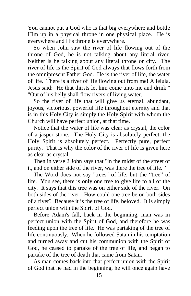You cannot put a God who is that big everywhere and bottle Him up in a physical throne in one physical place. He is everywhere and His throne is everywhere.

 So when John saw the river of life flowing out of the throne of God, he is not talking about any literal river. Neither is he talking about any literal throne or city. The river of life is the Spirit of God always that flows forth from the omnipresent Father God. He is the river of life, the water of life. There is a river of life flowing out from me! Alleluia. Jesus said: "He that thirsts let him come unto me and drink." "Out of his belly shall flow rivers of living water."

 So the river of life that will give us eternal, abundant, joyous, victorious, powerful life throughout eternity and that is in this Holy City is simply the Holy Spirit with whom the Church will have perfect union, at that time.

 Notice that the water of life was clear as crystal, the color of a jasper stone. The Holy City is absolutely perfect, the Holy Spirit is absolutely perfect. Perfectly pure, perfect purity. That is why the color of the river of life is given here as clear as crystal.

 Then in verse 2 John says that "in the midst of the street of it, and on either side of the river, was there the tree of life.' '

 The Word does not say "trees" of life, but the "tree" of life. You see, there is only one tree to give life to all of the city. It says that this tree was on either side of the river. On both sides of the river. How could one tree be on both sides of a river? Because it is the tree of life, beloved. It is simply perfect union with the Spirit of God.

 Before Adam's fall, back in the beginning, man was in perfect union with the Spirit of God, and therefore he was feeding upon the tree of life. He was partaking of the tree of life continuously. When he followed Satan in his temptation and turned away and cut his communion with the Spirit of God, he ceased to partake of the tree of life, and began to partake of the tree of death that came from Satan.

 As man comes back into that perfect union with the Spirit of God that he had in the beginning, he will once again have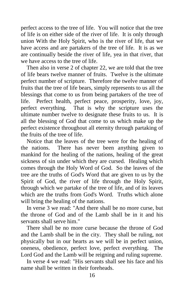perfect access to the tree of life. You will notice that the tree of life is on either side of the river of life. It is only through union With the Holy Spirit, who is the river of life, that we have access and are partakers of the tree of life. It is as we are continually beside the river of life, yea in that river, that we have access to the tree of life.

 Then also in verse 2 of chapter 22, we are told that the tree of life bears twelve manner of fruits. Twelve is the ultimate perfect number of scripture. Therefore the twelve manner of fruits that the tree of life bears, simply represents to us all the blessings that come to us from being partakers of the tree of life. Perfect health, perfect peace, prosperity, love, joy, perfect everything. That is why the scripture uses the ultimate number twelve to designate these fruits to us. It is all the blessing of God that come to us which make up the perfect existence throughout all eternity through partaking of the fruits of the tree of life.

 Notice that the leaves of the tree were for the healing of the nations. There has never been anything given to mankind for the healing of the nations, healing of the great sickness of sin under which they are cursed. Healing which comes through the Holy Word of God. So the leaves of the tree are the truths of God's Word that are given to us by the Spirit of God, the river of life through the Holy Spirit, through which we partake of the tree of life, and of its leaves which are the truths from God's Word. Truths which alone will bring the healing of the nations.

 In verse 3 we read: "And there shall be no more curse, but the throne of God and of the Lamb shall be in it and his servants shall serve him."

 There shall be no more curse because the throne of God and the Lamb shall be in the city. They shall be ruling, not physically but in our hearts as we will be in perfect union, oneness, obedience, perfect love, perfect everything. The Lord God and the Lamb will be reigning and ruling supreme.

 In verse 4 we read: "His servants shall see his face and his name shall be written in their foreheads.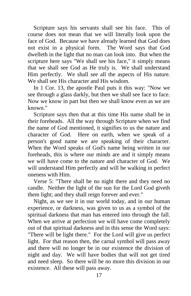Scripture says his servants shall see his face. This of course does not mean that we will literally look upon the face of God. Because we have already learned that God does not exist in a physical form. The Word says that God dwelleth in the light that no man can look into. But when the scripture here says "We shall see his face," it simply means that we shall see God as He truly is. We shall understand Him perfectly. We shall see all the aspects of His nature. We shall see His character and His wisdom.

 In 1 Cor. 13, the apostle Paul puts it this way: "Now we see through a glass darkly, but then we shall see face to face. Now we know in part but then we shall know even as we are known."

 Scripture says then that at this time His name shall be in their foreheads. All the way through Scripture when we find the name of God mentioned, it signifies to us the nature and character of God. Here on earth, when we speak of a person's good name we are speaking of their character. When the Word speaks of God's name being written in our foreheads, this is where our minds are and it simply means we will have come to the nature and character of God. We will understand Him perfectly and will be walking in perfect oneness with Him.

 Verse 5: "There shall be no night there and they need no candle. Neither the light of the sun for the Lord God giveth them light; and they shall reign forever and ever."

 Night, as we see it in our world today, and in our human experience, or darkness, was given to us as a symbol of the spiritual darkness that man has entered into through the fall. When we arrive at perfection we will have come completely out of that spiritual darkness and in this sense the Word says: "There will be light there." For the Lord will give us perfect light. For that reason then, the carnal symbol will pass away and there will no longer be in our existence the division of night and day. We will have bodies that will not get tired and need sleep. So there will be no more this division in our existence. All these will pass away.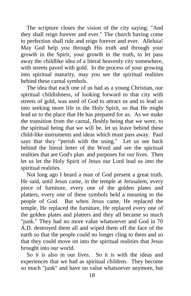The scripture closes the vision of the city saying: "And they shall reign forever and ever." The church having come to perfection shall rule and reign forever and ever. Alleluia! May God help you through His truth and through your growth in the Spirit, your growth in the truth, to let pass away the childlike idea of a literal heavenly city somewhere, with streets paved with gold. In the process of your growing into spiritual maturity, may you see the spiritual realities behind these carnal symbols.

 The idea that each one of us had as a young Christian, our spiritual childishness, of looking forward to that city with streets of gold, was used of God to attract us and to lead us into seeking more life in the Holy Spirit, so that He might lead us to the place that He has prepared for us. As we make the transition from the carnal, fleshly being that we were, to the spiritual being that we will be, let us leave behind these child-like instruments and ideas which must pass away. Paul says that they "perish with the using." Let us see back behind the literal letter of the Word and see the spiritual realities that are God's plan and purposes for our lives. Then let us let the Holy Spirit of Jesus our Lord lead us into the spiritual realities.

 Not long ago I heard a man of God present a great truth. He said, until Jesus came, in the temple at Jerusalem, every piece of furniture, every one of the golden plates and platters, every one of these symbols held a meaning to the people of God. But when Jesus came, He replaced the temple, He replaced the furniture, He replaced every one of the golden plates and platters and they all became so much "junk." They had no more value whatsoever and God in 70 A.D. destroyed them all and wiped them off the face of the earth so that the people could no longer cling to them and so that they could move on into the spiritual realities that Jesus brought into our world.

 So it is also in our lives. So it is with the ideas and experiences that we had as spiritual children. They become so much "junk" and have no value whatsoever anymore, but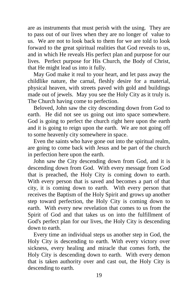are as instruments that must perish with the using. They are to pass out of our lives when they are no longer of value to us. We are not to look back to them for we are told to look forward to the great spiritual realities that God reveals to us, and in which He reveals His perfect plan and purpose for our lives. Perfect purpose for His Church, the Body of Christ, that He might lead us into it fully.

 May God make it real to your heart, and let pass away the childlike nature, the carnal, fleshly desire for a material, physical heaven, with streets paved with gold and buildings made out of jewels. May you see the Holy City as it truly is. The Church having come to perfection.

 Beloved, John saw the city descending down from God to earth. He did not see us going out into space somewhere. God is going to perfect the church right here upon the earth and it is going to reign upon the earth. We are not going off to some heavenly city somewhere in space.

 Even the saints who have gone out into the spiritual realm, are going to come back with Jesus and be part of the church in perfection here upon the earth.

 John saw the City descending down from God, and it is descending down from God. With every message from God that is preached, the Holy City is coming down to earth. With every person that is saved and becomes a part of that city, it is coming down to earth. With every person that receives the Baptism of the Holy Spirit and grows up another step toward perfection, the Holy City is coming down to earth. With every new revelation that comes to us from the Spirit of God and that takes us on into the fulfillment of God's perfect plan for our lives, the Holy City is descending down to earth.

 Every time an individual steps us another step in God, the Holy City is descending to earth. With every victory over sickness, every healing and miracle that comes forth, the Holy City is descending down to earth. With every demon that is taken authority over and cast out, the Holy City is descending to earth.